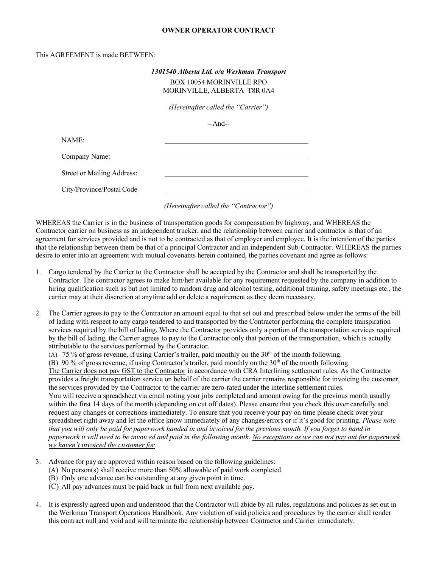## **OWNER OPERATOR CONTRACT**

## This AGREEMENT is made BETWEEN:

## *1301540 Alberta Ltd. o/a Werkman Transport* BOX 10054 MORINVILLE RPO MORINVILLE, ALBERTA T8R 0A4

*(Hereinafter called the "Carrier")*

--And--

NAME:

Company Name:

Street or Mailing Address:

City/Province/Postal Code

*(Hereinafter called the "Contractor")*

WHEREAS the Carrier is in the business of transportation goods for compensation by highway, and WHEREAS the Contractor carrier on business as an independent trucker, and the relationship between carrier and contractor is that of an agreement for services provided and is not to be contracted as that of employer and employee. It is the intention of the parties that the relationship between them be that of a principal Contractor and an independent Sub-Contractor. WHEREAS the parties desire to enter into an agreement with mutual covenants herein contained, the parties covenant and agree as follows:

- 1. Cargo tendered by the Carrier to the Contractor shall be accepted by the Contractor and shall be transported by the Contractor. The contractor agrees to make him/her available for any requirement requested by the company in addition to hiring qualification such as but not limited to random drug and alcohol testing, additional training, safety meetings etc., the carrier may at their discretion at anytime add or delete a requirement as they deem necessary.
- 2. The Carrier agrees to pay to the Contractor an amount equal to that set out and prescribed below under the terms of the bill of lading with respect to any cargo tendered to and transported by the Contractor performing the complete transpiration services required by the bill of lading. Where the Contractor provides only a portion of the transportation services required by the bill of lading, the Carrier agrees to pay to the Contractor only that portion of the transportation, which is actually attributable to the services performed by the Contractor.

(A) 75 % of gross revenue, if using Carrier's trailer, paid monthly on the  $30<sup>th</sup>$  of the month following.

(B)  $90\%$  of gross revenue, if using Contractor's trailer, paid monthly on the 30<sup>th</sup> of the month following.

The Carrier does not pay GST to the Contractor in accordance with CRA Interlining settlement rules. As the Contractor provides a freight transportation service on behalf of the carrier the carrier remains responsible for invoicing the customer, the services provided by the Contractor to the carrier are zero-rated under the interline settlement rules. You will receive a spreadsheet via email noting your jobs completed and amount owing for the previous month usually within the first 14 days of the month (depending on cut off dates). Please ensure that you check this over carefully and

request any changes or corrections immediately. To ensure that you receive your pay on time please check over your spreadsheet right away and let the office know immediately of any changes/errors or if it's good for printing. *Please note that you will only be paid for paperwork handed in and invoiced for the previous month. If you forget to hand in paperwork it will need to be invoiced and paid in the following month. No exceptions as we can not pay out for paperwork we haven't invoiced the customer for.*

- 3. Advance for pay are approved within reason based on the following guidelines:
	- (A) No person(s) shall receive more than 50% allowable of paid work completed.
	- (B) Only one advance can be outstanding at any given point in time.
	- (C) All pay advances must be paid back in full from next available pay.
- 4. It is expressly agreed upon and understood that the Contractor will abide by all rules, regulations and policies as set out in the Werkman Transport Operations Handbook. Any violation of said policies and procedures by the carrier shall render this contract null and void and will terminate the relationship between Contractor and Carrier immediately.